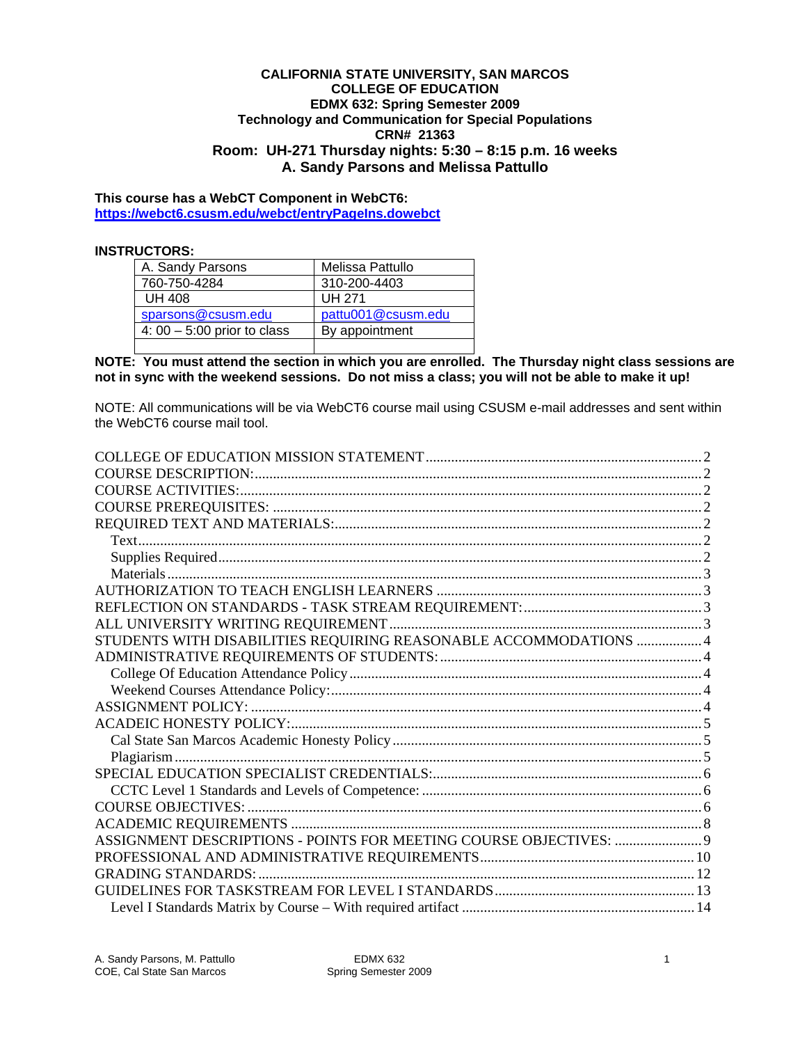#### **CALIFORNIA STATE UNIVERSITY, SAN MARCOS COLLEGE OF EDUCATION EDMX 632: Spring Semester 2009 Technology and Communication for Special Populations CRN# 21363 Room: UH-271 Thursday nights: 5:30 – 8:15 p.m. 16 weeks A. Sandy Parsons and Melissa Pattullo**

### **https://webct6.csusm.edu/webct/entryPageIns.dowebct This course has a WebCT Component in WebCT6:**

#### **INSTRUCTORS:**

| A. Sandy Parsons              | Melissa Pattullo   |
|-------------------------------|--------------------|
| 760-750-4284                  | 310-200-4403       |
| <b>UH 408</b>                 | UH 271             |
| sparsons@csusm.edu            | pattu001@csusm.edu |
| 4: $00 - 5:00$ prior to class | By appointment     |
|                               |                    |

**NOTE: You must attend the section in which you are enrolled. The Thursday night class sessions are not in sync with the weekend sessions. Do not miss a class; you will not be able to make it up!** 

NOTE: All communications will be via WebCT6 course mail using CSUSM e-mail addresses and sent within the WebCT6 course mail tool.

| STUDENTS WITH DISABILITIES REQUIRING REASONABLE ACCOMMODATIONS  4 |  |
|-------------------------------------------------------------------|--|
|                                                                   |  |
|                                                                   |  |
|                                                                   |  |
|                                                                   |  |
|                                                                   |  |
|                                                                   |  |
|                                                                   |  |
|                                                                   |  |
|                                                                   |  |
|                                                                   |  |
|                                                                   |  |
|                                                                   |  |
|                                                                   |  |
|                                                                   |  |
|                                                                   |  |
|                                                                   |  |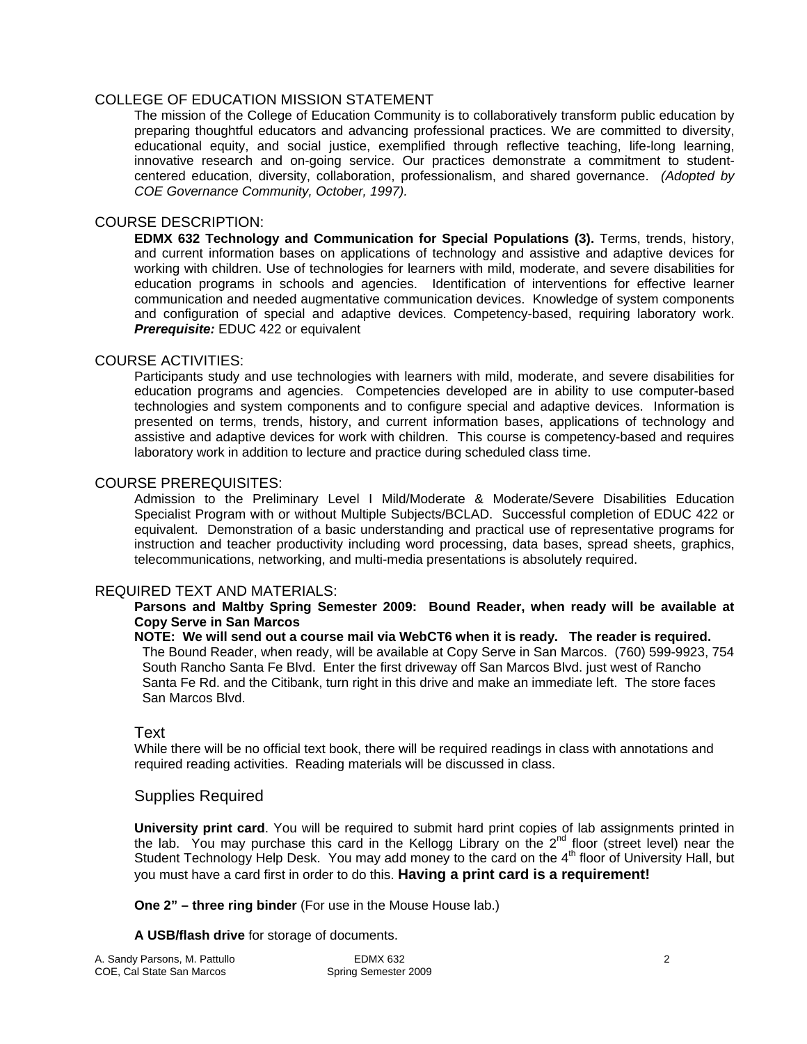### COLLEGE OF EDUCATION MISSION STATEMENT

The mission of the College of Education Community is to collaboratively transform public education by preparing thoughtful educators and advancing professional practices. We are committed to diversity, educational equity, and social justice, exemplified through reflective teaching, life-long learning, innovative research and on-going service. Our practices demonstrate a commitment to studentcentered education, diversity, collaboration, professionalism, and shared governance. *(Adopted by COE Governance Community, October, 1997).* 

### COURSE DESCRIPTION:

**EDMX 632 Technology and Communication for Special Populations (3).** Terms, trends, history, and current information bases on applications of technology and assistive and adaptive devices for working with children. Use of technologies for learners with mild, moderate, and severe disabilities for education programs in schools and agencies. Identification of interventions for effective learner communication and needed augmentative communication devices. Knowledge of system components and configuration of special and adaptive devices. Competency-based, requiring laboratory work. *Prerequisite:* EDUC 422 or equivalent

### COURSE ACTIVITIES:

Participants study and use technologies with learners with mild, moderate, and severe disabilities for education programs and agencies. Competencies developed are in ability to use computer-based technologies and system components and to configure special and adaptive devices. Information is presented on terms, trends, history, and current information bases, applications of technology and assistive and adaptive devices for work with children. This course is competency-based and requires laboratory work in addition to lecture and practice during scheduled class time.

#### COURSE PREREQUISITES:

Admission to the Preliminary Level I Mild/Moderate & Moderate/Severe Disabilities Education Specialist Program with or without Multiple Subjects/BCLAD. Successful completion of EDUC 422 or equivalent. Demonstration of a basic understanding and practical use of representative programs for instruction and teacher productivity including word processing, data bases, spread sheets, graphics, telecommunications, networking, and multi-media presentations is absolutely required.

### REQUIRED TEXT AND MATERIALS:

#### **Parsons and Maltby Spring Semester 2009: Bound Reader, when ready will be available at Copy Serve in San Marcos**

**NOTE: We will send out a course mail via WebCT6 when it is ready. The reader is required.**  The Bound Reader, when ready, will be available at Copy Serve in San Marcos. (760) 599-9923, 754 South Rancho Santa Fe Blvd. Enter the first driveway off San Marcos Blvd. just west of Rancho Santa Fe Rd. and the Citibank, turn right in this drive and make an immediate left. The store faces San Marcos Blvd.

### Text

While there will be no official text book, there will be required readings in class with annotations and required reading activities. Reading materials will be discussed in class.

### Supplies Required

**University print card**. You will be required to submit hard print copies of lab assignments printed in the lab. You may purchase this card in the Kellogg Library on the  $2^{nd}$  floor (street level) near the Student Technology Help Desk. You may add money to the card on the  $4<sup>th</sup>$  floor of University Hall, but you must have a card first in order to do this. **Having a print card is a requirement!** 

**One 2" – three ring binder** (For use in the Mouse House lab.)

#### **A USB/flash drive** for storage of documents.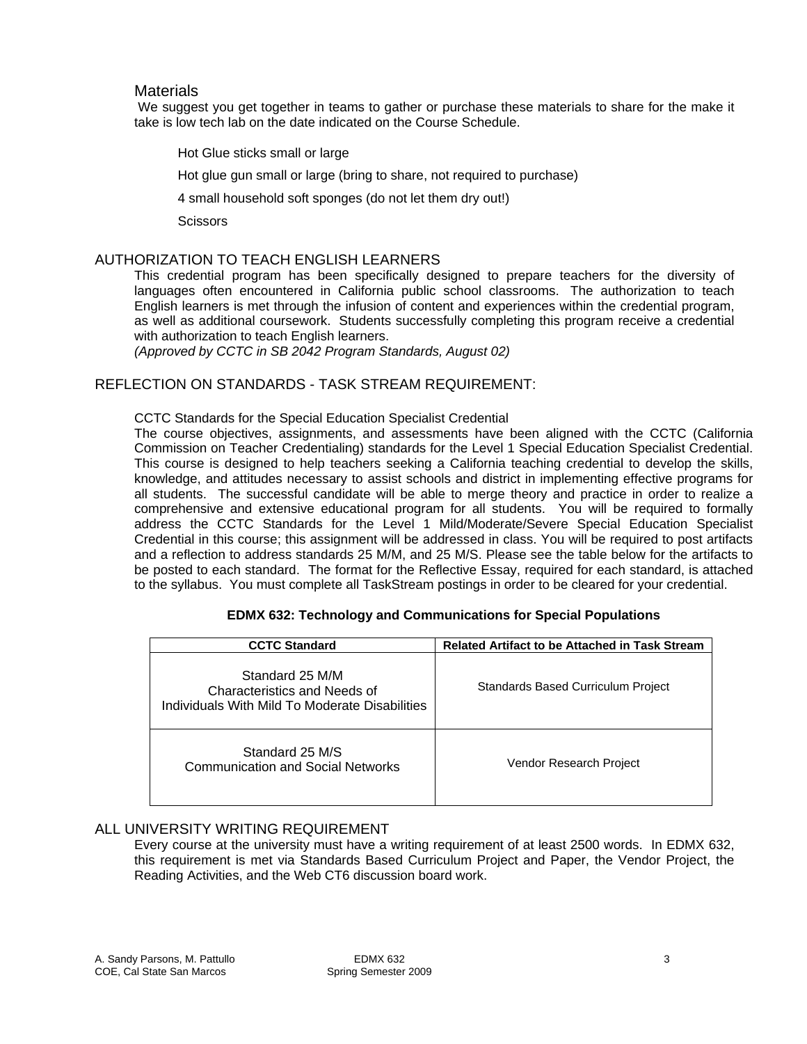#### **Materials**

We suggest you get together in teams to gather or purchase these materials to share for the make it take is low tech lab on the date indicated on the Course Schedule.

Hot Glue sticks small or large

Hot glue gun small or large (bring to share, not required to purchase)

4 small household soft sponges (do not let them dry out!)

**Scissors** 

#### AUTHORIZATION TO TEACH ENGLISH LEARNERS

This credential program has been specifically designed to prepare teachers for the diversity of languages often encountered in California public school classrooms. The authorization to teach English learners is met through the infusion of content and experiences within the credential program, as well as additional coursework. Students successfully completing this program receive a credential with authorization to teach English learners.

*(Approved by CCTC in SB 2042 Program Standards, August 02)* 

### REFLECTION ON STANDARDS - TASK STREAM REQUIREMENT:

#### CCTC Standards for the Special Education Specialist Credential

Commission on Teacher Credentialing) standards for the Level 1 Special Education Specialist Credential. The course objectives, assignments, and assessments have been aligned with the CCTC (California This course is designed to help teachers seeking a California teaching credential to develop the skills, knowledge, and attitudes necessary to assist schools and district in implementing effective programs for all students. The successful candidate will be able to merge theory and practice in order to realize a comprehensive and extensive educational program for all students. You will be required to formally address the CCTC Standards for the Level 1 Mild/Moderate/Severe Special Education Specialist Credential in this course; this assignment will be addressed in class. You will be required to post artifacts and a reflection to address standards 25 M/M, and 25 M/S. Please see the table below for the artifacts to be posted to each standard. The format for the Reflective Essay, required for each standard, is attached to the syllabus. You must complete all TaskStream postings in order to be cleared for your credential.

| <b>CCTC Standard</b>                                                                              | <b>Related Artifact to be Attached in Task Stream</b> |
|---------------------------------------------------------------------------------------------------|-------------------------------------------------------|
| Standard 25 M/M<br>Characteristics and Needs of<br>Individuals With Mild To Moderate Disabilities | Standards Based Curriculum Project                    |
| Standard 25 M/S<br>Communication and Social Networks                                              | Vendor Research Project                               |

#### **EDMX 632: Technology and Communications for Special Populations**

#### ALL UNIVERSITY WRITING REQUIREMENT

Every course at the university must have a writing requirement of at least 2500 words. In EDMX 632, this requirement is met via Standards Based Curriculum Project and Paper, the Vendor Project, the Reading Activities, and the Web CT6 discussion board work.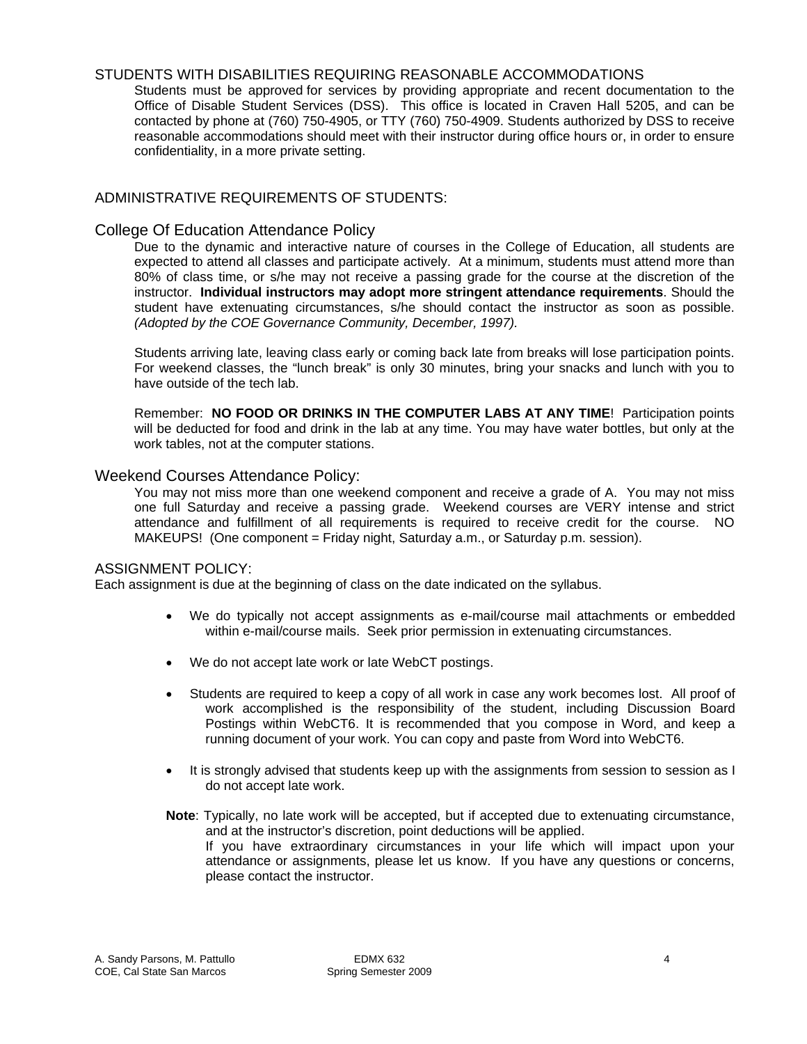#### STUDENTS WITH DISABILITIES REQUIRING REASONABLE ACCOMMODATIONS

Students must be approved for services by providing appropriate and recent documentation to the Office of Disable Student Services (DSS). This office is located in Craven Hall 5205, and can be contacted by phone at (760) 750-4905, or TTY (760) 750-4909. Students authorized by DSS to receive reasonable accommodations should meet with their instructor during office hours or, in order to ensure confidentiality, in a more private setting.

### ADMINISTRATIVE REQUIREMENTS OF STUDENTS:

### College Of Education Attendance Policy

 instructor. **Individual instructors may adopt more stringent attendance requirements**. Should the student have extenuating circumstances, s/he should contact the instructor as soon as possible. *(Adopted by the COE Governance Community, December, 1997).*  Due to the dynamic and interactive nature of courses in the College of Education, all students are expected to attend all classes and participate actively. At a minimum, students must attend more than 80% of class time, or s/he may not receive a passing grade for the course at the discretion of the

Students arriving late, leaving class early or coming back late from breaks will lose participation points. For weekend classes, the "lunch break" is only 30 minutes, bring your snacks and lunch with you to have outside of the tech lab.

Remember: **NO FOOD OR DRINKS IN THE COMPUTER LABS AT ANY TIME**! Participation points will be deducted for food and drink in the lab at any time. You may have water bottles, but only at the work tables, not at the computer stations.

#### Weekend Courses Attendance Policy:

You may not miss more than one weekend component and receive a grade of A. You may not miss one full Saturday and receive a passing grade. Weekend courses are VERY intense and strict attendance and fulfillment of all requirements is required to receive credit for the course. NO MAKEUPS! (One component = Friday night, Saturday a.m., or Saturday p.m. session).

#### ASSIGNMENT POLICY:

Each assignment is due at the beginning of class on the date indicated on the syllabus.

- We do typically not accept assignments as e-mail/course mail attachments or embedded within e-mail/course mails. Seek prior permission in extenuating circumstances.
- We do not accept late work or late WebCT postings.
- • Students are required to keep a copy of all work in case any work becomes lost. All proof of work accomplished is the responsibility of the student, including Discussion Board Postings within WebCT6. It is recommended that you compose in Word, and keep a running document of your work. You can copy and paste from Word into WebCT6.
- It is strongly advised that students keep up with the assignments from session to session as I do not accept late work.
- **Note**: Typically, no late work will be accepted, but if accepted due to extenuating circumstance, and at the instructor's discretion, point deductions will be applied. If you have extraordinary circumstances in your life which will impact upon your attendance or assignments, please let us know. If you have any questions or concerns, please contact the instructor.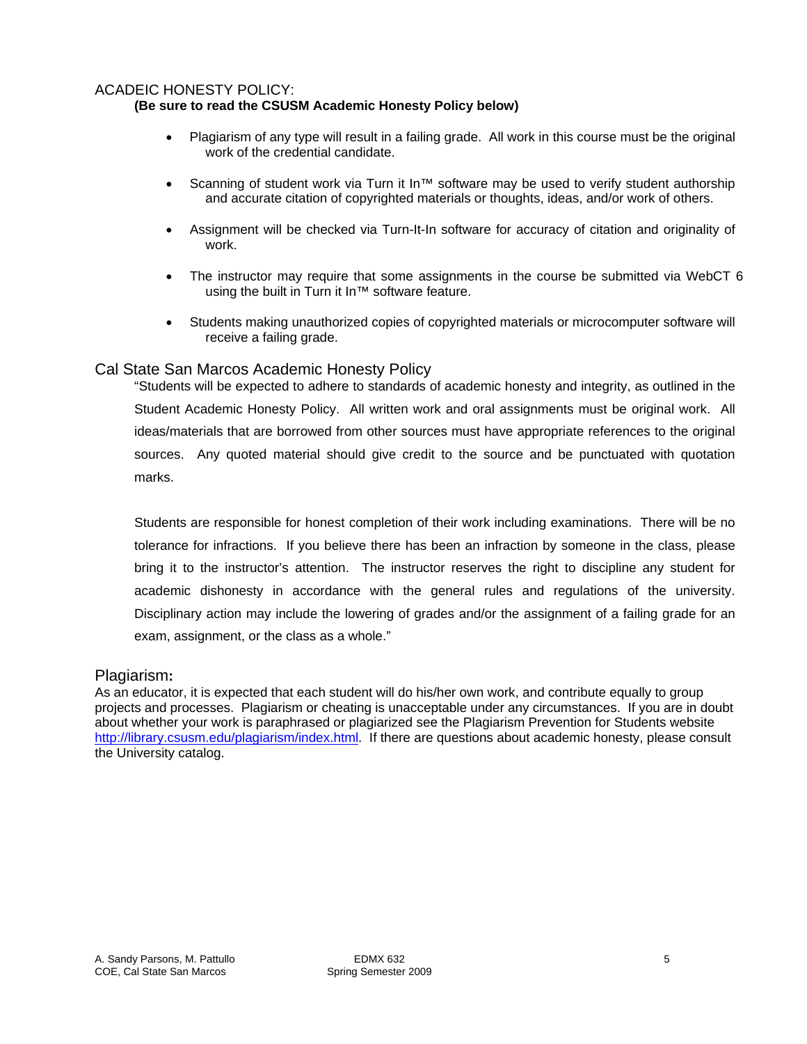### ACADEIC HONESTY POLICY:

### **(Be sure to read the CSUSM Academic Honesty Policy below)**

- Plagiarism of any type will result in a failing grade. All work in this course must be the original work of the credential candidate.
- Scanning of student work via Turn it In<sup>™</sup> software may be used to verify student authorship and accurate citation of copyrighted materials or thoughts, ideas, and/or work of others.
- Assignment will be checked via Turn-It-In software for accuracy of citation and originality of work.
- The instructor may require that some assignments in the course be submitted via WebCT  $6$ using the built in Turn it In™ software feature.
- Students making unauthorized copies of copyrighted materials or microcomputer software will receive a failing grade.

### Cal State San Marcos Academic Honesty Policy

 Student Academic Honesty Policy. All written work and oral assignments must be original work. All "Students will be expected to adhere to standards of academic honesty and integrity, as outlined in the ideas/materials that are borrowed from other sources must have appropriate references to the original sources. Any quoted material should give credit to the source and be punctuated with quotation marks.

Students are responsible for honest completion of their work including examinations. There will be no tolerance for infractions. If you believe there has been an infraction by someone in the class, please bring it to the instructor's attention. The instructor reserves the right to discipline any student for academic dishonesty in accordance with the general rules and regulations of the university. Disciplinary action may include the lowering of grades and/or the assignment of a failing grade for an exam, assignment, or the class as a whole."

### Plagiarism**:**

As an educator, it is expected that each student will do his/her own work, and contribute equally to group projects and processes. Plagiarism or cheating is unacceptable under any circumstances. If you are in doubt about whether your work is paraphrased or plagiarized see the Plagiarism Prevention for Students website http://library.csusm.edu/plagiarism/index.html. If there are questions about academic honesty, please consult the University catalog.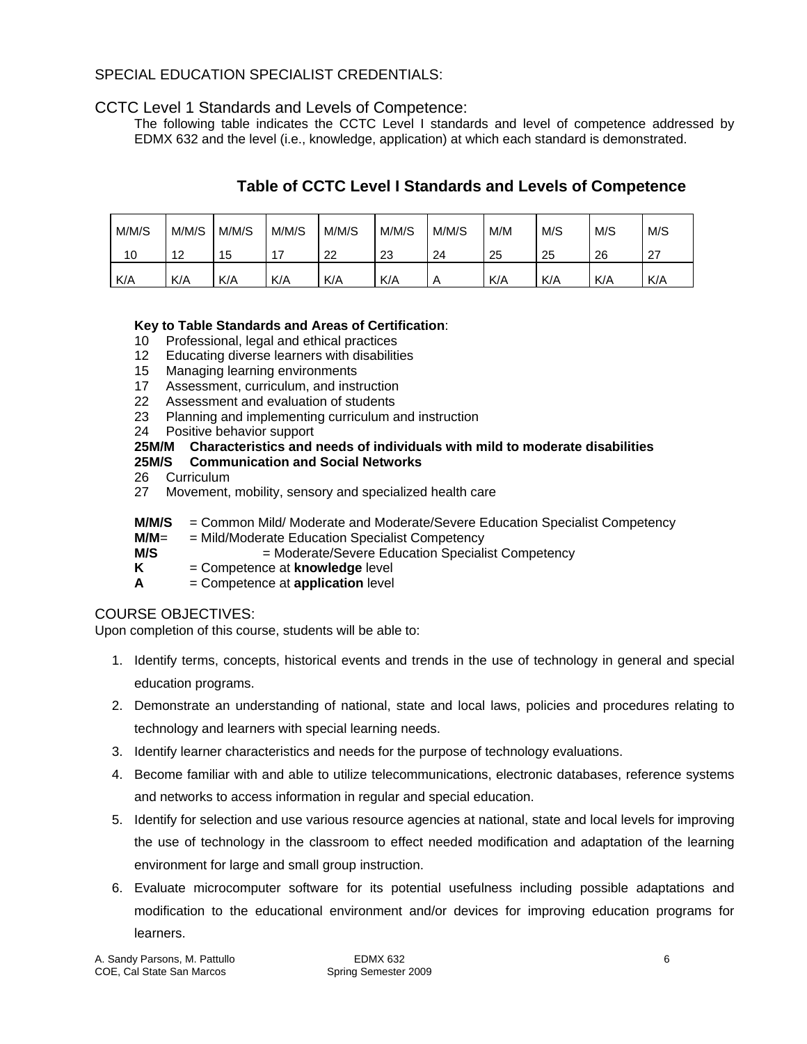### SPECIAL EDUCATION SPECIALIST CREDENTIALS:

### CCTC Level 1 Standards and Levels of Competence:

The following table indicates the CCTC Level I standards and level of competence addressed by EDMX 632 and the level (i.e., knowledge, application) at which each standard is demonstrated.

# **Table of CCTC Level I Standards and Levels of Competence**

| M/M/S | M/M/S | M/M/S | M/M/S | M/M/S | M/M/S | M/M/S | M/M | M/S | M/S | M/S |
|-------|-------|-------|-------|-------|-------|-------|-----|-----|-----|-----|
| 10    | 12    | 15    |       | 22    | 23    | 24    | 25  | 25  | 26  | 27  |
| K/A   | K/A   | K/A   | K/A   | K/A   | K/A   | A     | K/A | K/A | K/A | K/A |

### **Key to Table Standards and Areas of Certification**:

- 10 Professional, legal and ethical practices
- 12 Educating diverse learners with disabilities
- 15 Managing learning environments
- 17 Assessment, curriculum, and instruction
- 22 Assessment and evaluation of students
- 23 Planning and implementing curriculum and instruction
- 24 Positive behavior support

### **25M/M Characteristics and needs of individuals with mild to moderate disabilities**

### **25M/S Communication and Social Networks**

- 26 Curriculum
- 27 Movement, mobility, sensory and specialized health care
- **M/M/S** = Common Mild/ Moderate and Moderate/Severe Education Specialist Competency
- **M/M**= = Mild/Moderate Education Specialist Competency
- **M/S**  $=$  Moderate/Severe Education Specialist Competency
- **K** = Competence at **knowledge** level
- **A** = Competence at **application** level

### COURSE OBJECTIVES:

Upon completion of this course, students will be able to:

- 1. Identify terms, concepts, historical events and trends in the use of technology in general and special education programs.
- 2. Demonstrate an understanding of national, state and local laws, policies and procedures relating to technology and learners with special learning needs.
- 3. Identify learner characteristics and needs for the purpose of technology evaluations.
- 4. Become familiar with and able to utilize telecommunications, electronic databases, reference systems and networks to access information in regular and special education.
- 5. Identify for selection and use various resource agencies at national, state and local levels for improving the use of technology in the classroom to effect needed modification and adaptation of the learning environment for large and small group instruction.
- 6. Evaluate microcomputer software for its potential usefulness including possible adaptations and modification to the educational environment and/or devices for improving education programs for learners.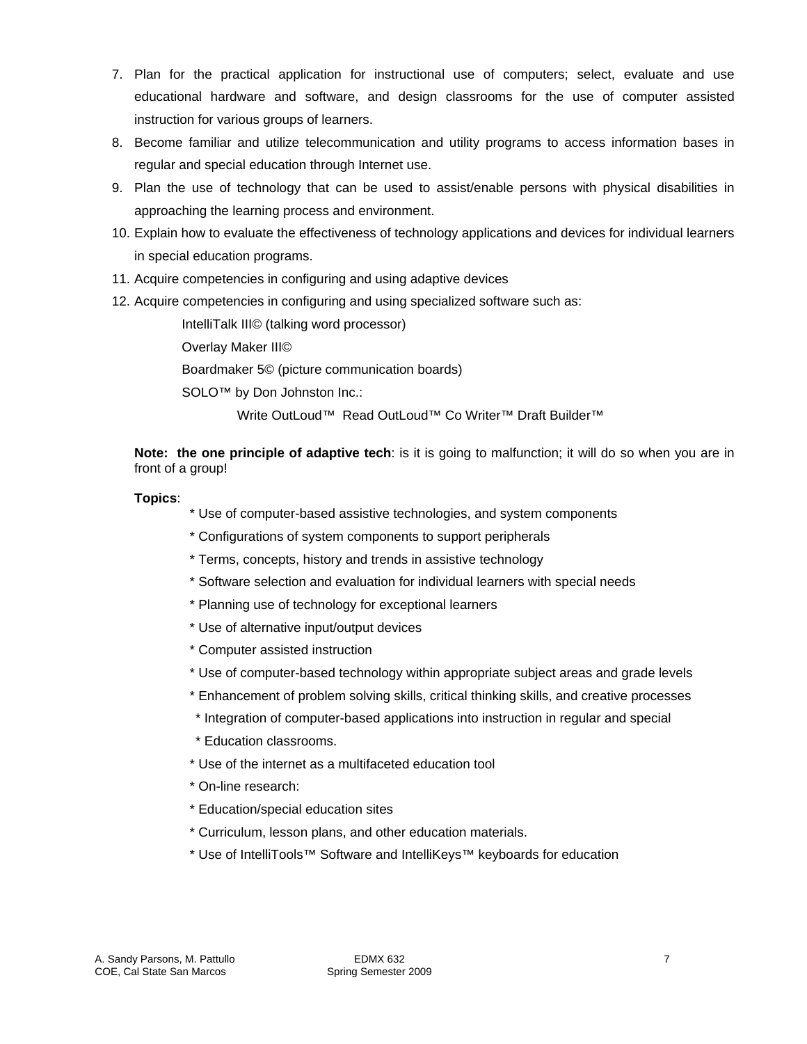- 7. Plan for the practical application for instructional use of computers; select, evaluate and use educational hardware and software, and design classrooms for the use of computer assisted instruction for various groups of learners.
- 8. Become familiar and utilize telecommunication and utility programs to access information bases in regular and special education through Internet use.
- 9. Plan the use of technology that can be used to assist/enable persons with physical disabilities in approaching the learning process and environment.
- 10. Explain how to evaluate the effectiveness of technology applications and devices for individual learners in special education programs.
- 11. Acquire competencies in configuring and using adaptive devices
- 12. Acquire competencies in configuring and using specialized software such as:

IntelliTalk III© (talking word processor)

Overlay Maker III©

Boardmaker 5© (picture communication boards)

SOLO<sup>™</sup> by Don Johnston Inc.:

Write OutLoud™ Read OutLoud™ Co Writer™ Draft Builder™

**Note: the one principle of adaptive tech**: is it is going to malfunction; it will do so when you are in front of a group!

### **Topics**:

- \* Use of computer-based assistive technologies, and system components
- \* Configurations of system components to support peripherals
- \* Terms, concepts, history and trends in assistive technology
- \* Software selection and evaluation for individual learners with special needs
- \* Planning use of technology for exceptional learners
- \* Use of alternative input/output devices
- \* Computer assisted instruction
- \* Use of computer-based technology within appropriate subject areas and grade levels
- \* Enhancement of problem solving skills, critical thinking skills, and creative processes
- \* Integration of computer-based applications into instruction in regular and special
- \* Education classrooms.
- \* Use of the internet as a multifaceted education tool
- \* On-line research:
- \* Education/special education sites
- \* Curriculum, lesson plans, and other education materials.
- \* Use of IntelliTools™ Software and IntelliKeys™ keyboards for education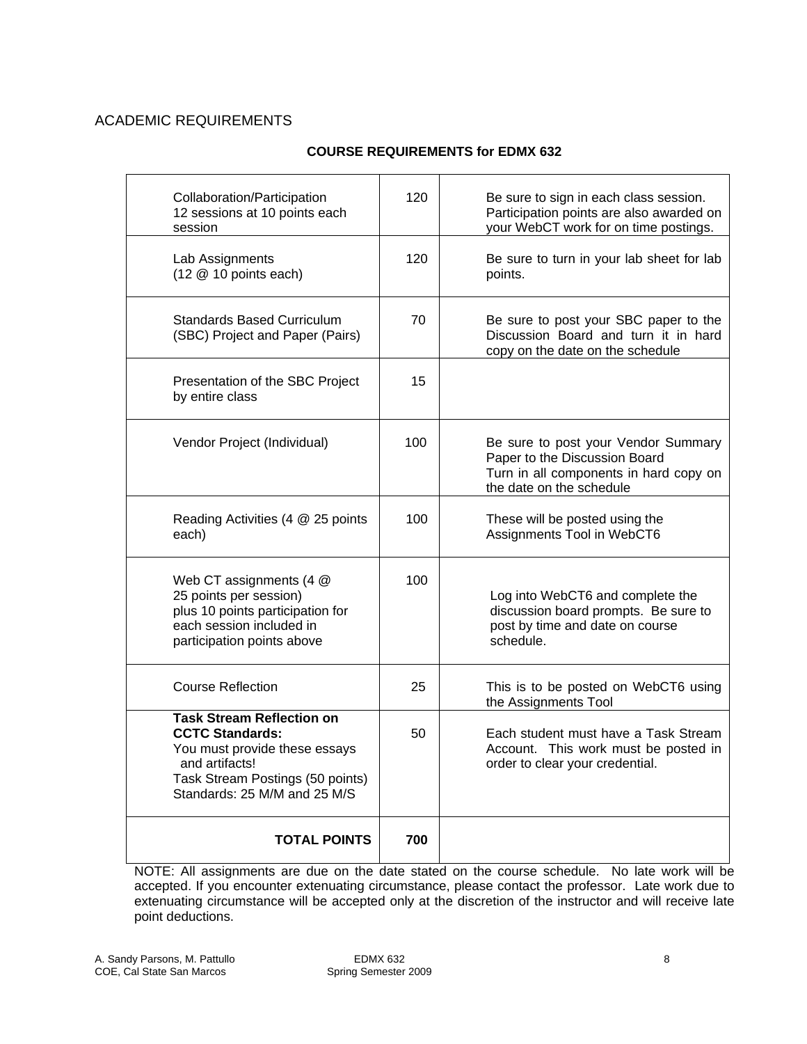## ACADEMIC REQUIREMENTS

### **COURSE REQUIREMENTS for EDMX 632**

| Collaboration/Participation<br>12 sessions at 10 points each<br>session                                                                                                           | 120 | Be sure to sign in each class session.<br>Participation points are also awarded on<br>your WebCT work for on time postings.                |
|-----------------------------------------------------------------------------------------------------------------------------------------------------------------------------------|-----|--------------------------------------------------------------------------------------------------------------------------------------------|
| Lab Assignments<br>$(12 \t@ 10$ points each)                                                                                                                                      | 120 | Be sure to turn in your lab sheet for lab<br>points.                                                                                       |
| <b>Standards Based Curriculum</b><br>(SBC) Project and Paper (Pairs)                                                                                                              | 70  | Be sure to post your SBC paper to the<br>Discussion Board and turn it in hard<br>copy on the date on the schedule                          |
| Presentation of the SBC Project<br>by entire class                                                                                                                                | 15  |                                                                                                                                            |
| Vendor Project (Individual)                                                                                                                                                       | 100 | Be sure to post your Vendor Summary<br>Paper to the Discussion Board<br>Turn in all components in hard copy on<br>the date on the schedule |
| Reading Activities (4 @ 25 points<br>each)                                                                                                                                        | 100 | These will be posted using the<br>Assignments Tool in WebCT6                                                                               |
| Web CT assignments (4 @<br>25 points per session)<br>plus 10 points participation for<br>each session included in<br>participation points above                                   | 100 | Log into WebCT6 and complete the<br>discussion board prompts. Be sure to<br>post by time and date on course<br>schedule.                   |
| <b>Course Reflection</b>                                                                                                                                                          | 25  | This is to be posted on WebCT6 using<br>the Assignments Tool                                                                               |
| <b>Task Stream Reflection on</b><br><b>CCTC Standards:</b><br>You must provide these essays<br>and artifacts!<br>Task Stream Postings (50 points)<br>Standards: 25 M/M and 25 M/S | 50  | Each student must have a Task Stream<br>Account. This work must be posted in<br>order to clear your credential.                            |
| <b>TOTAL POINTS</b>                                                                                                                                                               | 700 |                                                                                                                                            |

NOTE: All assignments are due on the date stated on the course schedule. No late work will be accepted. If you encounter extenuating circumstance, please contact the professor. Late work due to extenuating circumstance will be accepted only at the discretion of the instructor and will receive late point deductions.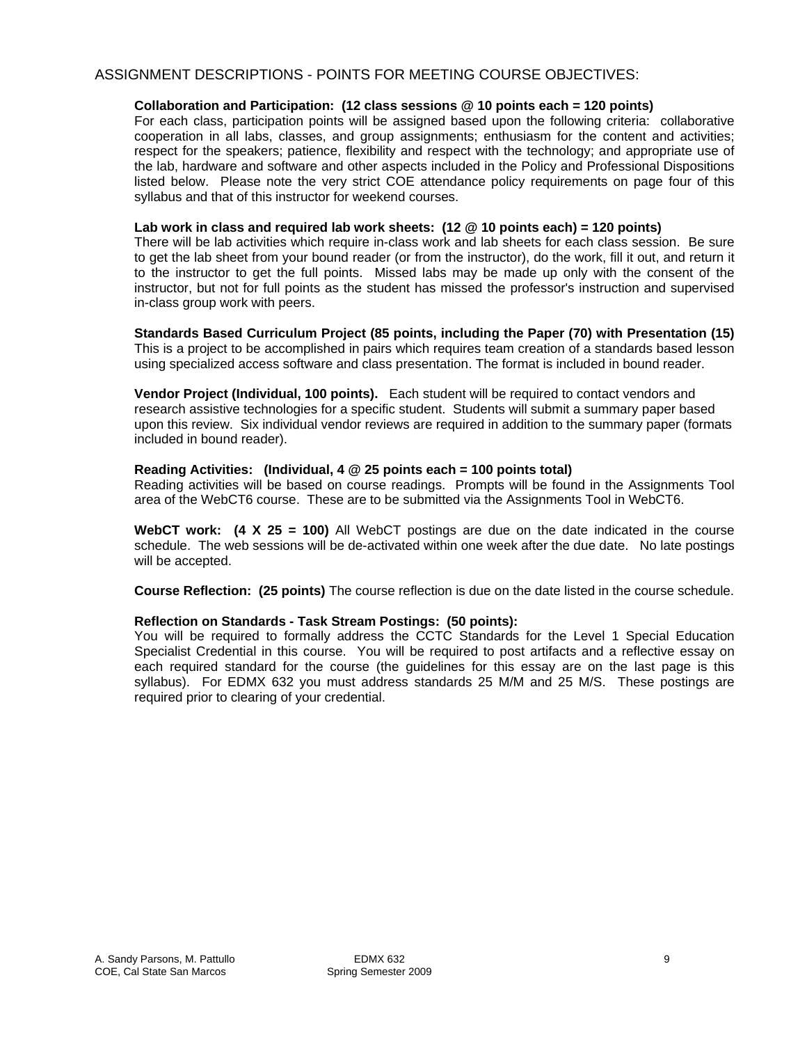### ASSIGNMENT DESCRIPTIONS - POINTS FOR MEETING COURSE OBJECTIVES:

#### **Collaboration and Participation: (12 class sessions @ 10 points each = 120 points)**

For each class, participation points will be assigned based upon the following criteria: collaborative cooperation in all labs, classes, and group assignments; enthusiasm for the content and activities; respect for the speakers; patience, flexibility and respect with the technology; and appropriate use of the lab, hardware and software and other aspects included in the Policy and Professional Dispositions listed below. Please note the very strict COE attendance policy requirements on page four of this syllabus and that of this instructor for weekend courses.

#### **Lab work in class and required lab work sheets: (12 @ 10 points each) = 120 points)**

There will be lab activities which require in-class work and lab sheets for each class session. Be sure to get the lab sheet from your bound reader (or from the instructor), do the work, fill it out, and return it to the instructor to get the full points. Missed labs may be made up only with the consent of the instructor, but not for full points as the student has missed the professor's instruction and supervised in-class group work with peers.

#### **Standards Based Curriculum Project (85 points, including the Paper (70) with Presentation (15)**  This is a project to be accomplished in pairs which requires team creation of a standards based lesson using specialized access software and class presentation. The format is included in bound reader.

**Vendor Project (Individual, 100 points).** Each student will be required to contact vendors and research assistive technologies for a specific student. Students will submit a summary paper based upon this review. Six individual vendor reviews are required in addition to the summary paper (formats included in bound reader).

#### **Reading Activities: (Individual, 4 @ 25 points each = 100 points total)**

Reading activities will be based on course readings. Prompts will be found in the Assignments Tool area of the WebCT6 course. These are to be submitted via the Assignments Tool in WebCT6.

**WebCT work: (4 X 25 = 100)** All WebCT postings are due on the date indicated in the course schedule. The web sessions will be de-activated within one week after the due date. No late postings will be accepted.

**Course Reflection: (25 points)** The course reflection is due on the date listed in the course schedule.

#### **Reflection on Standards - Task Stream Postings: (50 points):**

You will be required to formally address the CCTC Standards for the Level 1 Special Education Specialist Credential in this course. You will be required to post artifacts and a reflective essay on each required standard for the course (the guidelines for this essay are on the last page is this syllabus). For EDMX 632 you must address standards 25 M/M and 25 M/S. These postings are required prior to clearing of your credential.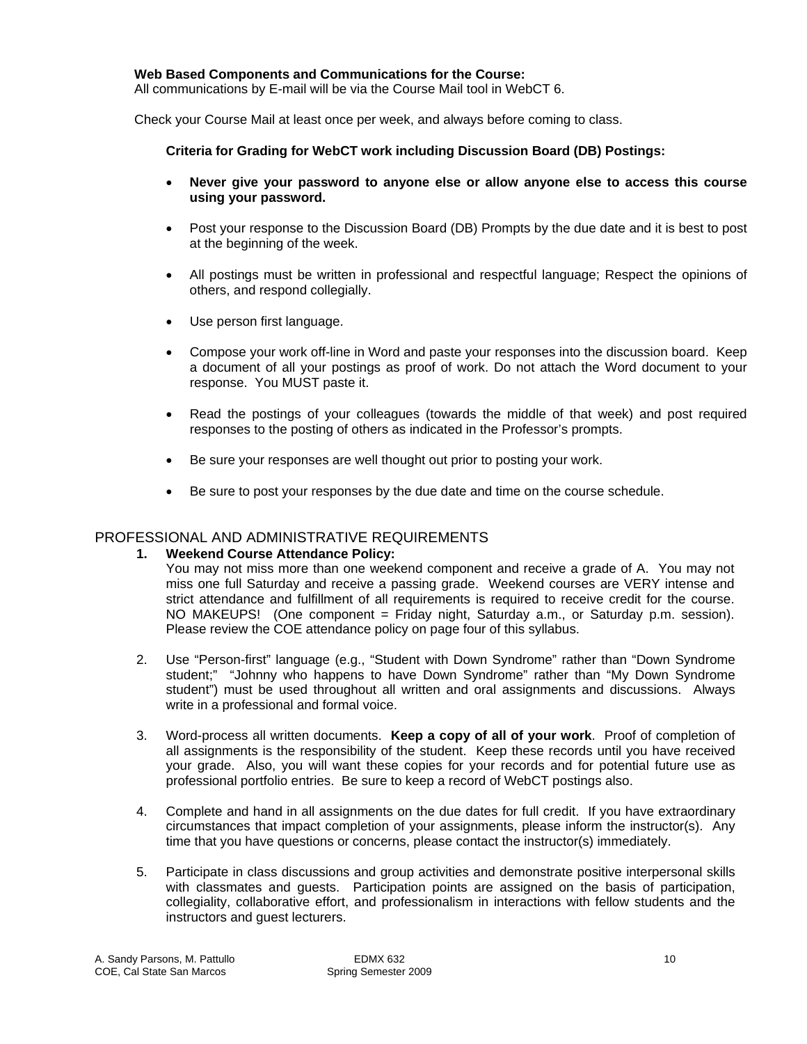#### **Web Based Components and Communications for the Course:**

All communications by E-mail will be via the Course Mail tool in WebCT 6.

Check your Course Mail at least once per week, and always before coming to class.

#### **Criteria for Grading for WebCT work including Discussion Board (DB) Postings:**

- • **Never give your password to anyone else or allow anyone else to access this course using your password.**
- Post your response to the Discussion Board (DB) Prompts by the due date and it is best to post at the beginning of the week.
- All postings must be written in professional and respectful language; Respect the opinions of others, and respond collegially.
- Use person first language.
- Compose your work off-line in Word and paste your responses into the discussion board. Keep a document of all your postings as proof of work. Do not attach the Word document to your response. You MUST paste it.
- Read the postings of your colleagues (towards the middle of that week) and post required responses to the posting of others as indicated in the Professor's prompts.
- Be sure your responses are well thought out prior to posting your work.
- Be sure to post your responses by the due date and time on the course schedule.

### PROFESSIONAL AND ADMINISTRATIVE REQUIREMENTS

### **1. Weekend Course Attendance Policy:**

strict attendance and fulfillment of all requirements is required to receive credit for the course. You may not miss more than one weekend component and receive a grade of A. You may not miss one full Saturday and receive a passing grade. Weekend courses are VERY intense and NO MAKEUPS! (One component = Friday night, Saturday a.m., or Saturday p.m. session). Please review the COE attendance policy on page four of this syllabus.

- 2. Use "Person-first" language (e.g., "Student with Down Syndrome" rather than "Down Syndrome student;" "Johnny who happens to have Down Syndrome" rather than "My Down Syndrome student") must be used throughout all written and oral assignments and discussions. Always write in a professional and formal voice.
- 3. Word-process all written documents. **Keep a copy of all of your work**. Proof of completion of all assignments is the responsibility of the student. Keep these records until you have received your grade. Also, you will want these copies for your records and for potential future use as professional portfolio entries. Be sure to keep a record of WebCT postings also.
- circumstances that impact completion of your assignments, please inform the instructor(s). Any 4. Complete and hand in all assignments on the due dates for full credit. If you have extraordinary time that you have questions or concerns, please contact the instructor(s) immediately.
- instructors and guest lecturers. 5. Participate in class discussions and group activities and demonstrate positive interpersonal skills with classmates and quests. Participation points are assigned on the basis of participation, collegiality, collaborative effort, and professionalism in interactions with fellow students and the instructors and guest lecturers. A. Sandy Parsons, M. Pattullo EDMX 632 10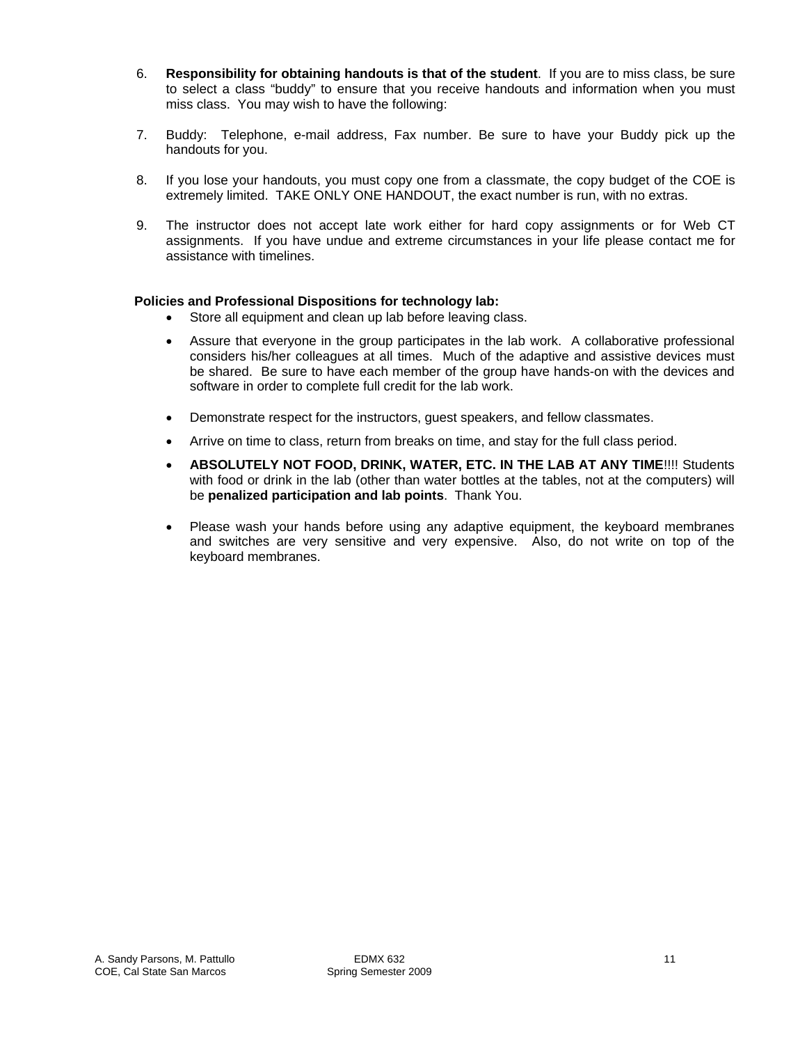- 6. **Responsibility for obtaining handouts is that of the student**. If you are to miss class, be sure to select a class "buddy" to ensure that you receive handouts and information when you must miss class. You may wish to have the following:
- 7. Buddy: Telephone, e-mail address, Fax number. Be sure to have your Buddy pick up the handouts for you.
- 8. If you lose your handouts, you must copy one from a classmate, the copy budget of the COE is extremely limited. TAKE ONLY ONE HANDOUT, the exact number is run, with no extras.
- 9. The instructor does not accept late work either for hard copy assignments or for Web CT assignments. If you have undue and extreme circumstances in your life please contact me for assistance with timelines.

#### **Policies and Professional Dispositions for technology lab:**

- Store all equipment and clean up lab before leaving class.
- Assure that everyone in the group participates in the lab work. A collaborative professional considers his/her colleagues at all times. Much of the adaptive and assistive devices must be shared. Be sure to have each member of the group have hands-on with the devices and software in order to complete full credit for the lab work.
- Demonstrate respect for the instructors, quest speakers, and fellow classmates.
- Arrive on time to class, return from breaks on time, and stay for the full class period.
- • **ABSOLUTELY NOT FOOD, DRINK, WATER, ETC. IN THE LAB AT ANY TIME**!!!! Students with food or drink in the lab (other than water bottles at the tables, not at the computers) will be **penalized participation and lab points**. Thank You.
- Please wash your hands before using any adaptive equipment, the keyboard membranes and switches are very sensitive and very expensive. Also, do not write on top of the keyboard membranes.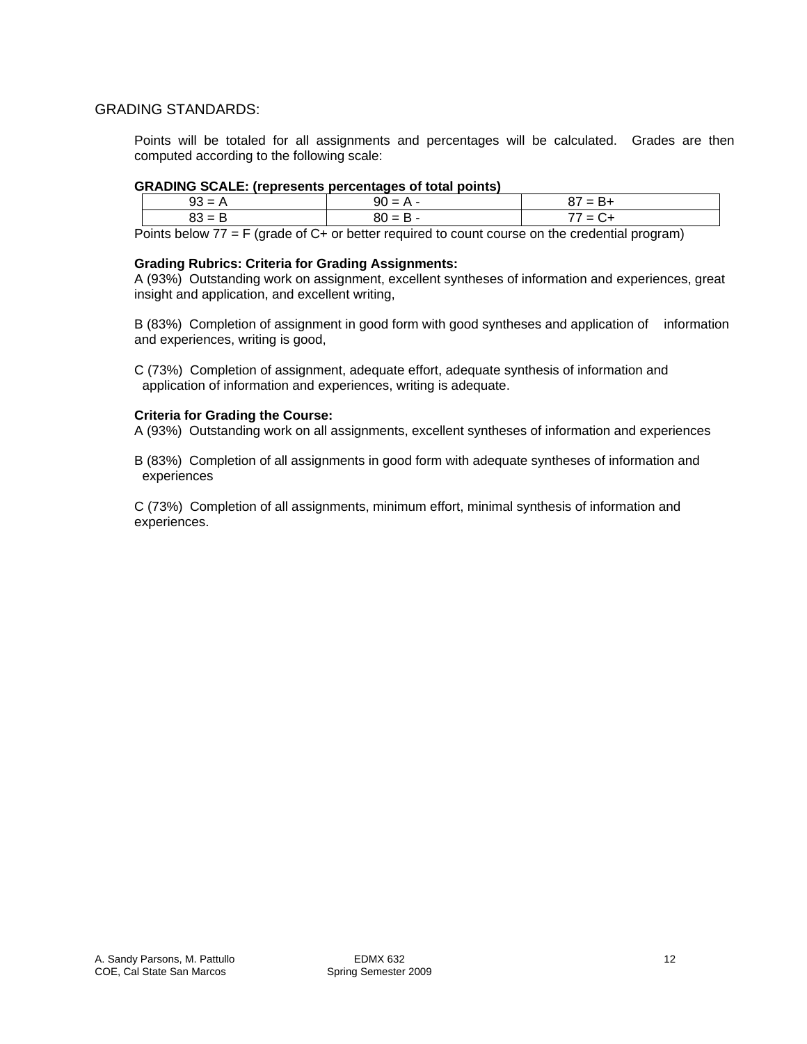### GRADING STANDARDS:

Points will be totaled for all assignments and percentages will be calculated. Grades are then computed according to the following scale:

#### **GRADING SCALE: (represents percentages of total points)**

| ົ<br>. –<br>ອປ | $90 =$<br>           | $\overline{\phantom{0}}$<br>--<br>o,<br>- דע |
|----------------|----------------------|----------------------------------------------|
| ົ<br>ບບ        | $80 =$<br>. .<br>ـــ | --<br>$\overline{\phantom{0}}$<br>-          |

Points below 77 = F (grade of C+ or better required to count course on the credential program)

#### **Grading Rubrics: Criteria for Grading Assignments:**

A (93%) Outstanding work on assignment, excellent syntheses of information and experiences, great insight and application, and excellent writing,

B (83%) Completion of assignment in good form with good syntheses and application of information and experiences, writing is good,

C (73%) Completion of assignment, adequate effort, adequate synthesis of information and application of information and experiences, writing is adequate.

#### **Criteria for Grading the Course:**

A (93%) Outstanding work on all assignments, excellent syntheses of information and experiences

B (83%) Completion of all assignments in good form with adequate syntheses of information and experiences

C (73%) Completion of all assignments, minimum effort, minimal synthesis of information and experiences.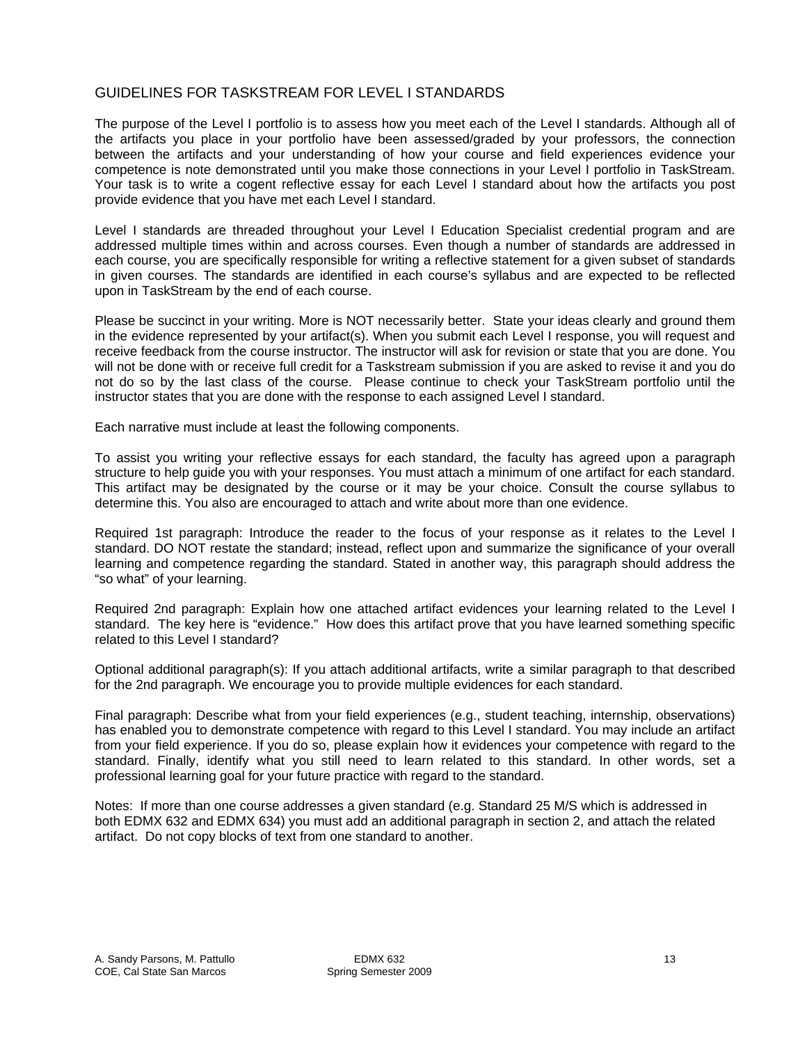### GUIDELINES FOR TASKSTREAM FOR LEVEL I STANDARDS

The purpose of the Level I portfolio is to assess how you meet each of the Level I standards. Although all of the artifacts you place in your portfolio have been assessed/graded by your professors, the connection between the artifacts and your understanding of how your course and field experiences evidence your competence is note demonstrated until you make those connections in your Level I portfolio in TaskStream. Your task is to write a cogent reflective essay for each Level I standard about how the artifacts you post provide evidence that you have met each Level I standard.

Level I standards are threaded throughout your Level I Education Specialist credential program and are addressed multiple times within and across courses. Even though a number of standards are addressed in each course, you are specifically responsible for writing a reflective statement for a given subset of standards in given courses. The standards are identified in each course's syllabus and are expected to be reflected upon in TaskStream by the end of each course.

Please be succinct in your writing. More is NOT necessarily better. State your ideas clearly and ground them in the evidence represented by your artifact(s). When you submit each Level I response, you will request and receive feedback from the course instructor. The instructor will ask for revision or state that you are done. You will not be done with or receive full credit for a Taskstream submission if you are asked to revise it and you do not do so by the last class of the course. Please continue to check your TaskStream portfolio until the instructor states that you are done with the response to each assigned Level I standard.

Each narrative must include at least the following components.

To assist you writing your reflective essays for each standard, the faculty has agreed upon a paragraph structure to help guide you with your responses. You must attach a minimum of one artifact for each standard. This artifact may be designated by the course or it may be your choice. Consult the course syllabus to determine this. You also are encouraged to attach and write about more than one evidence.

Required 1st paragraph: Introduce the reader to the focus of your response as it relates to the Level I standard. DO NOT restate the standard; instead, reflect upon and summarize the significance of your overall learning and competence regarding the standard. Stated in another way, this paragraph should address the "so what" of your learning.

Required 2nd paragraph: Explain how one attached artifact evidences your learning related to the Level I standard. The key here is "evidence." How does this artifact prove that you have learned something specific related to this Level I standard?

Optional additional paragraph(s): If you attach additional artifacts, write a similar paragraph to that described for the 2nd paragraph. We encourage you to provide multiple evidences for each standard.

Final paragraph: Describe what from your field experiences (e.g., student teaching, internship, observations) has enabled you to demonstrate competence with regard to this Level I standard. You may include an artifact from your field experience. If you do so, please explain how it evidences your competence with regard to the standard. Finally, identify what you still need to learn related to this standard. In other words, set a professional learning goal for your future practice with regard to the standard.

Notes: If more than one course addresses a given standard (e.g. Standard 25 M/S which is addressed in both EDMX 632 and EDMX 634) you must add an additional paragraph in section 2, and attach the related artifact. Do not copy blocks of text from one standard to another.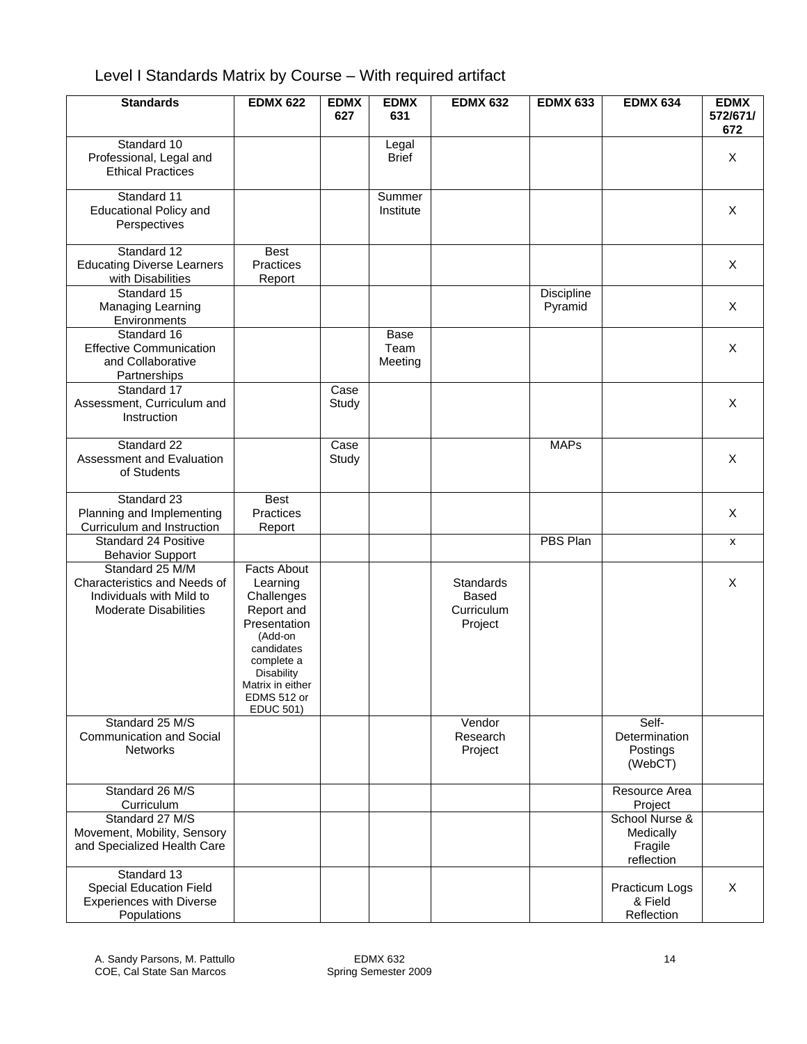# Level I Standards Matrix by Course – With required artifact

| <b>Standards</b>                                                                                            | <b>EDMX 622</b>                                                                                                                                                                               | <b>EDMX</b><br>627 | <b>EDMX</b><br>631      | <b>EDMX 632</b>                                    | <b>EDMX 633</b>       | <b>EDMX 634</b>                                      | <b>EDMX</b><br>572/671/<br>672 |
|-------------------------------------------------------------------------------------------------------------|-----------------------------------------------------------------------------------------------------------------------------------------------------------------------------------------------|--------------------|-------------------------|----------------------------------------------------|-----------------------|------------------------------------------------------|--------------------------------|
| Standard 10<br>Professional, Legal and<br><b>Ethical Practices</b>                                          |                                                                                                                                                                                               |                    | Legal<br><b>Brief</b>   |                                                    |                       |                                                      | X                              |
| Standard 11<br><b>Educational Policy and</b><br>Perspectives                                                |                                                                                                                                                                                               |                    | Summer<br>Institute     |                                                    |                       |                                                      | X                              |
| Standard 12<br><b>Educating Diverse Learners</b><br>with Disabilities                                       | <b>Best</b><br><b>Practices</b><br>Report                                                                                                                                                     |                    |                         |                                                    |                       |                                                      | X                              |
| Standard 15<br>Managing Learning<br>Environments                                                            |                                                                                                                                                                                               |                    |                         |                                                    | Discipline<br>Pyramid |                                                      | X                              |
| Standard 16<br><b>Effective Communication</b><br>and Collaborative<br>Partnerships                          |                                                                                                                                                                                               |                    | Base<br>Team<br>Meeting |                                                    |                       |                                                      | X                              |
| Standard 17<br>Assessment, Curriculum and<br>Instruction                                                    |                                                                                                                                                                                               | Case<br>Study      |                         |                                                    |                       |                                                      | X                              |
| Standard 22<br>Assessment and Evaluation<br>of Students                                                     |                                                                                                                                                                                               | Case<br>Study      |                         |                                                    | <b>MAPs</b>           |                                                      | X                              |
| Standard 23<br>Planning and Implementing<br>Curriculum and Instruction                                      | Best<br>Practices<br>Report                                                                                                                                                                   |                    |                         |                                                    |                       |                                                      | X                              |
| Standard 24 Positive<br><b>Behavior Support</b>                                                             |                                                                                                                                                                                               |                    |                         |                                                    | <b>PBS Plan</b>       |                                                      | X                              |
| Standard 25 M/M<br>Characteristics and Needs of<br>Individuals with Mild to<br><b>Moderate Disabilities</b> | <b>Facts About</b><br>Learning<br>Challenges<br>Report and<br>Presentation<br>(Add-on<br>candidates<br>complete a<br><b>Disability</b><br>Matrix in either<br>EDMS 512 or<br><b>EDUC 501)</b> |                    |                         | Standards<br><b>Based</b><br>Curriculum<br>Project |                       |                                                      | X                              |
| Standard 25 M/S<br><b>Communication and Social</b><br><b>Networks</b>                                       |                                                                                                                                                                                               |                    |                         | Vendor<br>Research<br>Project                      |                       | Self-<br>Determination<br>Postings<br>(WebCT)        |                                |
| Standard 26 M/S<br>Curriculum                                                                               |                                                                                                                                                                                               |                    |                         |                                                    |                       | Resource Area<br>Project                             |                                |
| Standard 27 M/S<br>Movement, Mobility, Sensory<br>and Specialized Health Care                               |                                                                                                                                                                                               |                    |                         |                                                    |                       | School Nurse &<br>Medically<br>Fragile<br>reflection |                                |
| Standard 13<br>Special Education Field<br><b>Experiences with Diverse</b><br>Populations                    |                                                                                                                                                                                               |                    |                         |                                                    |                       | Practicum Logs<br>& Field<br>Reflection              | X                              |